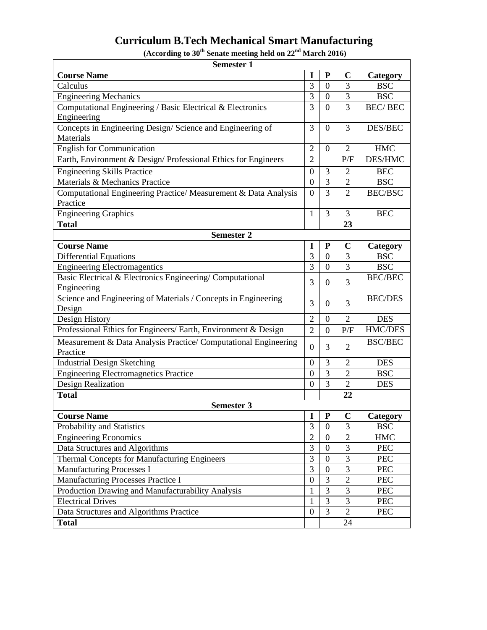## **Curriculum B.Tech Mechanical Smart Manufacturing**

**(According to 30th Senate meeting held on 22nd March 2016)**

| <b>Semester 1</b>                                               |                  |                |                |                |  |  |  |  |
|-----------------------------------------------------------------|------------------|----------------|----------------|----------------|--|--|--|--|
| <b>Course Name</b>                                              | I                | ${\bf P}$      | $\mathbf C$    | Category       |  |  |  |  |
| Calculus                                                        | 3                | $\theta$       | 3              | <b>BSC</b>     |  |  |  |  |
| <b>Engineering Mechanics</b>                                    | $\overline{3}$   | $\overline{0}$ | $\overline{3}$ | <b>BSC</b>     |  |  |  |  |
| Computational Engineering / Basic Electrical & Electronics      | 3                | $\Omega$       | 3              | <b>BEC/BEC</b> |  |  |  |  |
| Engineering                                                     |                  |                |                |                |  |  |  |  |
| Concepts in Engineering Design/Science and Engineering of       | 3                | $\overline{0}$ | 3              | DES/BEC        |  |  |  |  |
| Materials                                                       |                  |                |                |                |  |  |  |  |
| <b>English for Communication</b>                                | $\mathfrak{2}$   | $\theta$       | $\overline{2}$ | <b>HMC</b>     |  |  |  |  |
| Earth, Environment & Design/Professional Ethics for Engineers   | $\overline{2}$   |                | P/F            | <b>DES/HMC</b> |  |  |  |  |
| <b>Engineering Skills Practice</b>                              | 0                | 3              | 2              | <b>BEC</b>     |  |  |  |  |
| Materials & Mechanics Practice                                  | $\boldsymbol{0}$ | 3              | $\overline{2}$ | <b>BSC</b>     |  |  |  |  |
| Computational Engineering Practice/ Measurement & Data Analysis | $\boldsymbol{0}$ | 3              | $\overline{2}$ | <b>BEC/BSC</b> |  |  |  |  |
| Practice                                                        |                  |                |                |                |  |  |  |  |
| <b>Engineering Graphics</b>                                     | 1                | 3              | 3              | <b>BEC</b>     |  |  |  |  |
| <b>Total</b>                                                    |                  |                | 23             |                |  |  |  |  |
| <b>Semester 2</b>                                               |                  |                |                |                |  |  |  |  |
| <b>Course Name</b>                                              | I                | ${\bf P}$      | $\mathbf C$    | Category       |  |  |  |  |
| <b>Differential Equations</b>                                   | 3                | $\overline{0}$ | 3              | <b>BSC</b>     |  |  |  |  |
| <b>Engineering Electromagentics</b>                             | 3                | $\overline{0}$ | 3              | <b>BSC</b>     |  |  |  |  |
| Basic Electrical & Electronics Engineering/Computational        | 3                | 0              | 3              | <b>BEC/BEC</b> |  |  |  |  |
| Engineering                                                     |                  |                |                |                |  |  |  |  |
| Science and Engineering of Materials / Concepts in Engineering  | 3                | $\theta$       | 3              | <b>BEC/DES</b> |  |  |  |  |
| Design                                                          |                  |                |                |                |  |  |  |  |
| Design History                                                  | $\mathbf{2}$     | $\Omega$       | $\overline{2}$ | <b>DES</b>     |  |  |  |  |
| Professional Ethics for Engineers/ Earth, Environment & Design  | $\overline{2}$   | $\overline{0}$ | P/F            | HMC/DES        |  |  |  |  |
| Measurement & Data Analysis Practice/ Computational Engineering | $\boldsymbol{0}$ | 3              | $\overline{2}$ | <b>BSC/BEC</b> |  |  |  |  |
| Practice                                                        |                  |                |                |                |  |  |  |  |
| <b>Industrial Design Sketching</b>                              | 0                | 3              | $\overline{2}$ | <b>DES</b>     |  |  |  |  |
| <b>Engineering Electromagnetics Practice</b>                    | 0                | 3              | $\overline{2}$ | <b>BSC</b>     |  |  |  |  |
| Design Realization                                              | $\overline{0}$   | $\overline{3}$ | $\overline{2}$ | <b>DES</b>     |  |  |  |  |
| <b>Total</b>                                                    |                  |                | 22             |                |  |  |  |  |
| <b>Semester 3</b>                                               |                  |                |                |                |  |  |  |  |
| <b>Course Name</b>                                              | $\mathbf I$      | ${\bf P}$      | $\mathbf C$    | Category       |  |  |  |  |
| Probability and Statistics                                      | 3                | $\overline{0}$ | 3              | <b>BSC</b>     |  |  |  |  |
| <b>Engineering Economics</b>                                    | $\overline{2}$   | $\overline{0}$ | $\overline{c}$ | <b>HMC</b>     |  |  |  |  |
| Data Structures and Algorithms                                  | 3                | $\mathbf{0}$   | $\overline{3}$ | <b>PEC</b>     |  |  |  |  |
| Thermal Concepts for Manufacturing Engineers                    | 3                | $\mathbf{0}$   | 3              | <b>PEC</b>     |  |  |  |  |
| Manufacturing Processes I                                       | $\overline{3}$   | $\overline{0}$ | $\overline{3}$ | <b>PEC</b>     |  |  |  |  |
| Manufacturing Processes Practice I                              | $\overline{0}$   | 3              | $\sqrt{2}$     | PEC            |  |  |  |  |
| Production Drawing and Manufacturability Analysis               | $\mathbf{1}$     | $\overline{3}$ | 3              | PEC            |  |  |  |  |
| <b>Electrical Drives</b>                                        | $\mathbf{1}$     | 3              | 3              | <b>PEC</b>     |  |  |  |  |
| Data Structures and Algorithms Practice                         | $\overline{0}$   | 3              | $\overline{2}$ | PEC            |  |  |  |  |
| <b>Total</b>                                                    |                  |                | 24             |                |  |  |  |  |